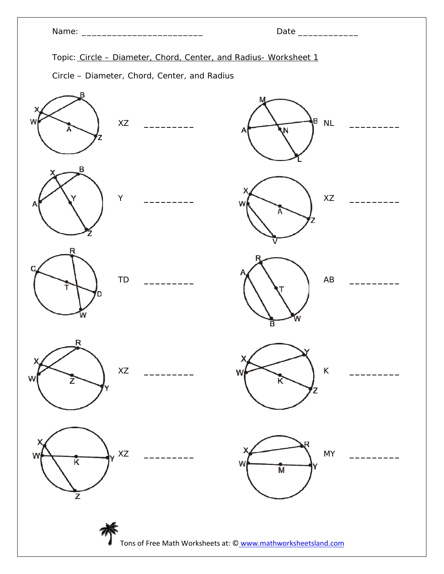|                        |                                                                                                                  | Date ______________         |  |
|------------------------|------------------------------------------------------------------------------------------------------------------|-----------------------------|--|
|                        | Topic: Circle - Diameter, Chord, Center, and Radius- Worksheet 1<br>Circle - Diameter, Chord, Center, and Radius |                             |  |
| W<br>XZ                |                                                                                                                  | β<br>$\sf NL$<br>N,<br>Α    |  |
| Β<br>Υ<br>A            |                                                                                                                  | XZ<br>N                     |  |
| R<br>C<br>TD<br>D<br>w |                                                                                                                  | $\mathsf{A}\mathsf{B}$<br>в |  |
| Ŗ<br>XZ<br>W           |                                                                                                                  | $\sf K$<br>W<br>ĸ<br>Z      |  |
| XZ<br>W<br>Ķ           |                                                                                                                  | <b>MY</b><br>W<br>M         |  |

芥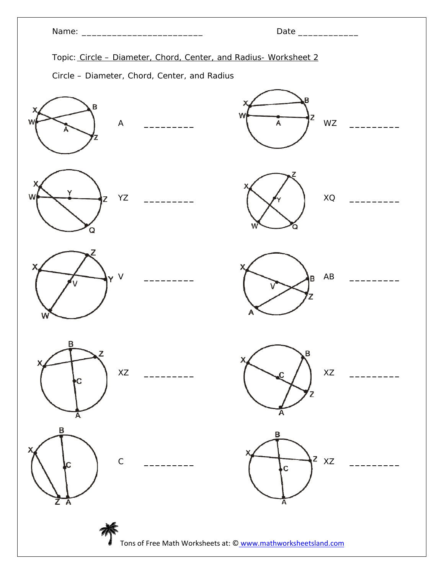|                                                                  | Date ______________              |  |  |
|------------------------------------------------------------------|----------------------------------|--|--|
| Topic: Circle - Diameter, Chord, Center, and Radius- Worksheet 2 |                                  |  |  |
| Circle - Diameter, Chord, Center, and Radius                     |                                  |  |  |
| B<br>W<br>$\boldsymbol{\mathsf{A}}$                              | w<br>Z<br>WZ<br>A                |  |  |
| W<br>YZ<br>O                                                     | $\mathsf{XQ}$                    |  |  |
| $\vee$<br>W                                                      | $\mathsf{A}\mathsf{B}$<br>B<br>Α |  |  |
| B<br>z<br>$\mathsf{X} \mathsf{Z}$<br>C                           | B<br>$\mathsf{X} \mathsf{Z}$     |  |  |
| B<br>$\mathsf C$                                                 | в<br>Z<br>XZ<br>Ċ                |  |  |
| Tons of Free Math Worksheets at: © www.mathworksheetsland.com    |                                  |  |  |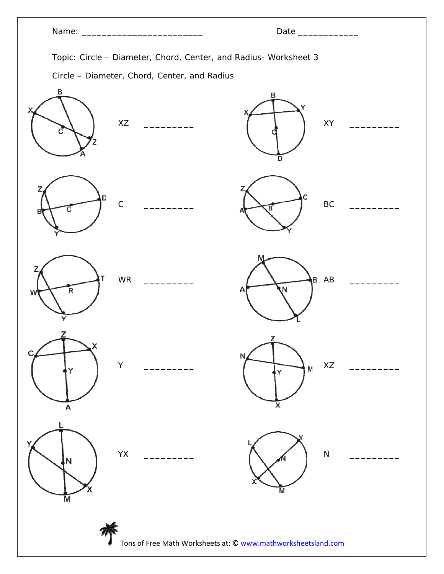|                                                                  | Date ______________                                                                                                                              |  |  |
|------------------------------------------------------------------|--------------------------------------------------------------------------------------------------------------------------------------------------|--|--|
| Topic: Circle - Diameter, Chord, Center, and Radius- Worksheet 3 |                                                                                                                                                  |  |  |
| Circle - Diameter, Chord, Center, and Radius                     |                                                                                                                                                  |  |  |
| В<br>XZ<br>$\frac{1}{1}$                                         | в<br>Υ<br>${\sf XY}$<br><u> 1989 - Johann Barnett, fransk politiker</u><br>D                                                                     |  |  |
| D<br>$\mathsf C$<br>В                                            | C<br>$\mathsf{BC}$<br>в                                                                                                                          |  |  |
| 7<br>WR<br>R,<br>W<br>Y                                          | M<br>B AB<br>N<br>A                                                                                                                              |  |  |
| Ć<br>$\mathsf Y$<br>A                                            | $\mathbb{Z}$<br>N<br>XZ<br>$\mathsf{M}% _{T}=\mathsf{M}_{T}\!\left( a,b\right) ,\ \mathsf{M}_{T}=\mathsf{M}_{T}\!\left( a,b\right) ,$<br>Ý.<br>X |  |  |
| YX<br>N<br>М                                                     | ${\sf N}$<br>М                                                                                                                                   |  |  |
|                                                                  |                                                                                                                                                  |  |  |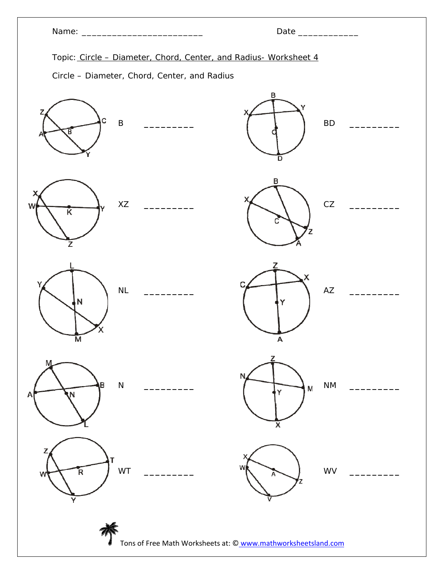|                                                                  | Date ______________                                                   |
|------------------------------------------------------------------|-----------------------------------------------------------------------|
| Topic: Circle - Diameter, Chord, Center, and Radius- Worksheet 4 |                                                                       |
| Circle - Diameter, Chord, Center, and Radius                     |                                                                       |
| Z<br>C<br>$\sf B$<br><u>and the state</u><br>Β                   | $\, {\bf B}$<br>х<br>${\sf BD}$<br>D                                  |
| XZ<br>W<br>K<br>z                                                | в<br>CZ                                                               |
| NL<br>N<br>М                                                     | 7<br>X<br>$\mathsf{A}\mathsf{Z}$<br>A                                 |
| M<br>ιB<br>${\sf N}$<br>A<br>N,                                  | z<br>N<br>$\mathsf{N}\mathsf{M}$<br>M<br>Y<br>$\overline{\mathsf{x}}$ |
| z<br>WT<br>R.                                                    | w<br>WV<br>А                                                          |